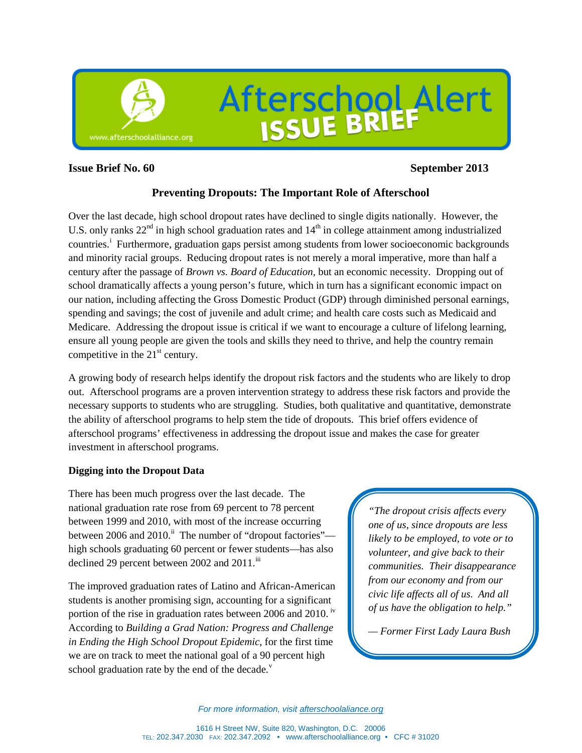

# **Issue Brief No. 60 September 2013**

# **Preventing Dropouts: The Important Role of Afterschool**

Over the last decade, high school dropout rates have declined to single digits nationally. However, the U.S. only ranks  $22<sup>nd</sup>$  in high school graduation rates and  $14<sup>th</sup>$  in college attainment among industrialized countr[i](#page-7-0)es.<sup>1</sup> Furthermore, graduation gaps persist among students from lower socioeconomic backgrounds and minority racial groups. Reducing dropout rates is not merely a moral imperative, more than half a century after the passage of *Brown vs. Board of Education*, but an economic necessity. Dropping out of school dramatically affects a young person's future, which in turn has a significant economic impact on our nation, including affecting the Gross Domestic Product (GDP) through diminished personal earnings, spending and savings; the cost of juvenile and adult crime; and health care costs such as Medicaid and Medicare. Addressing the dropout issue is critical if we want to encourage a culture of lifelong learning, ensure all young people are given the tools and skills they need to thrive, and help the country remain competitive in the  $21<sup>st</sup>$  century.

A growing body of research helps identify the dropout risk factors and the students who are likely to drop out. Afterschool programs are a proven intervention strategy to address these risk factors and provide the necessary supports to students who are struggling. Studies, both qualitative and quantitative, demonstrate the ability of afterschool programs to help stem the tide of dropouts. This brief offers evidence of afterschool programs' effectiveness in addressing the dropout issue and makes the case for greater investment in afterschool programs.

# **Digging into the Dropout Data**

There has been much progress over the last decade. The national graduation rate rose from 69 percent to 78 percent between 1999 and 2010, with most of the increase occurring between 2006 and 2010.<sup>[ii](#page-7-1)</sup> The number of "dropout factories" high schools graduating 60 percent or fewer students—has also declined 29 percent between 2002 and  $2011$ .<sup>[iii](#page-7-2)</sup>

The improved graduation rates of Latino and African-American students is another promising sign, accounting for a significant portion of the rise in graduation rates between 2006 and 2010. <sup>[iv](#page-7-3)</sup> According to *Building a Grad Nation: Progress and Challenge in Ending the High School Dropout Epidemic*, for the first time we are on track to meet the national goal of a 90 percent high school graduation rate by the end of the decade. $v$ 

*"The dropout crisis affects every one of us, since dropouts are less likely to be employed, to vote or to volunteer, and give back to their communities. Their disappearance from our economy and from our civic life affects all of us. And all of us have the obligation to help."* 

*— Former First Lady Laura Bush*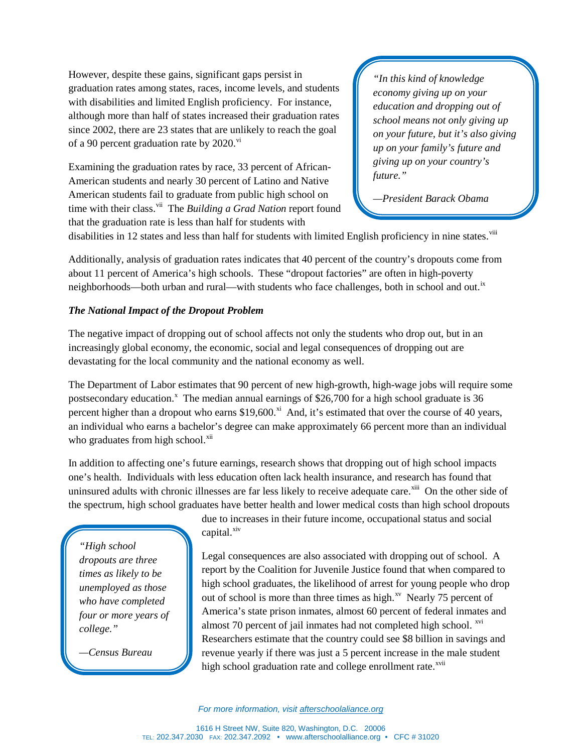However, despite these gains, significant gaps persist in graduation rates among states, races, income levels, and students with disabilities and limited English proficiency. For instance, although more than half of states increased their graduation rates since 2002, there are 23 states that are unlikely to reach the goal of a 90 percent graduation rate by  $2020$ .<sup>[vi](#page-8-0)</sup>

Examining the graduation rates by race, 33 percent of African-American students and nearly 30 percent of Latino and Native American students fail to graduate from public high school on time with their class.<sup>[vii](#page-8-1)</sup> The *Building a Grad Nation* report found that the graduation rate is less than half for students with

*"In this kind of knowledge economy giving up on your education and dropping out of school means not only giving up on your future, but it's also giving up on your family's future and giving up on your country's future."* 

*—President Barack Obama* 

disabilities in 12 states and less than half for students with limited English proficiency in nine states.<sup>[viii](#page-8-2)</sup>

Additionally, analysis of graduation rates indicates that 40 percent of the country's dropouts come from about 11 percent of America's high schools. These "dropout factories" are often in high-poverty neighborhoods—both urban and rural—with students who face challenges, both in school and out.<sup>[ix](#page-8-3)</sup>

# *The National Impact of the Dropout Problem*

The negative impact of dropping out of school affects not only the students who drop out, but in an increasingly global economy, the economic, social and legal consequences of dropping out are devastating for the local community and the national economy as well.

The Department of Labor estimates that 90 percent of new high-growth, high-wage jobs will require some postsecondary education.<sup>[x](#page-8-4)</sup> The median annual earnings of \$26,700 for a high school graduate is  $36$ percent higher than a dropout who earns \$19,600.<sup>[xi](#page-8-5)</sup> And, it's estimated that over the course of 40 years, an individual who earns a bachelor's degree can make approximately 66 percent more than an individual who graduates from high school.<sup>[xii](#page-8-6)</sup>

In addition to affecting one's future earnings, research shows that dropping out of high school impacts one's health. Individuals with less education often lack health insurance, and research has found that uninsured adults with chronic illnesses are far less likely to receive adequate care.<sup>[xiii](#page-8-7)</sup> On the other side of the spectrum, high school graduates have better health and lower medical costs than high school dropouts

*"High school dropouts are three times as likely to be unemployed as those who have completed four or more years of college."* 

*—Census Bureau*

due to increases in their future income, occupational status and social capital.<sup>[xiv](#page-8-8)</sup>

Legal consequences are also associated with dropping out of school. A report by the Coalition for Juvenile Justice found that when compared to high school graduates, the likelihood of arrest for young people who drop out of school is more than three times as high. $^{xy}$  Nearly 75 percent of America's state prison inmates, almost 60 percent of federal inmates and almost 70 percent of jail inmates had not completed high school.  $\frac{xy}{x}$ Researchers estimate that the country could see \$8 billion in savings and revenue yearly if there was just a 5 percent increase in the male student high school graduation rate and college enrollment rate.<sup>[xvii](#page-8-11)</sup>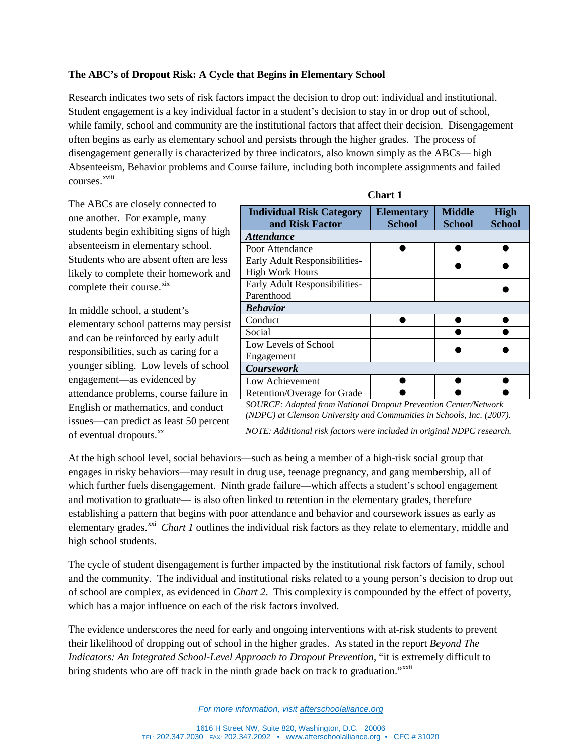# **The ABC's of Dropout Risk: A Cycle that Begins in Elementary School**

Research indicates two sets of risk factors impact the decision to drop out: individual and institutional. Student engagement is a key individual factor in a student's decision to stay in or drop out of school, while family, school and community are the institutional factors that affect their decision. Disengagement often begins as early as elementary school and persists through the higher grades. The process of disengagement generally is characterized by three indicators, also known simply as the ABCs— high Absenteeism, Behavior problems and Course failure, including both incomplete assignments and failed courses. xvii[i](#page-8-12)

The ABCs are closely connected to one another. For example, many students begin exhibiting signs of high absenteeism in elementary school. Students who are absent often are less likely to complete their homework and complete their course.<sup>[xix](#page-8-13)</sup>

In middle school, a student's elementary school patterns may persist and can be reinforced by early adult responsibilities, such as caring for a younger sibling. Low levels of school engagement—as evidenced by attendance problems, course failure in English or mathematics, and conduct issues—can predict as least 50 percent of eventual dropouts.<sup>[xx](#page-8-14)</sup>

| <b>Individual Risk Category</b><br>and Risk Factor | <b>Elementary</b><br><b>School</b> | <b>Middle</b><br><b>School</b> | <b>High</b><br><b>School</b> |  |
|----------------------------------------------------|------------------------------------|--------------------------------|------------------------------|--|
| <b>Attendance</b>                                  |                                    |                                |                              |  |
| Poor Attendance                                    |                                    |                                |                              |  |
| Early Adult Responsibilities-                      |                                    |                                |                              |  |
| <b>High Work Hours</b>                             |                                    |                                |                              |  |
| Early Adult Responsibilities-                      |                                    |                                |                              |  |
| Parenthood                                         |                                    |                                |                              |  |
| <b>Behavior</b>                                    |                                    |                                |                              |  |
| Conduct                                            |                                    |                                |                              |  |
| Social                                             |                                    |                                |                              |  |
| Low Levels of School                               |                                    |                                |                              |  |
| Engagement                                         |                                    |                                |                              |  |
| <b>Coursework</b>                                  |                                    |                                |                              |  |
| Low Achievement                                    |                                    |                                |                              |  |
| Retention/Overage for Grade                        |                                    |                                |                              |  |

| nar |  |
|-----|--|
|-----|--|

*SOURCE: Adapted from National Dropout Prevention Center/Network (NDPC) at Clemson University and Communities in Schools, Inc. (2007). NOTE: Additional risk factors were included in original NDPC research.*

At the high school level, social behaviors—such as being a member of a high-risk social group that engages in risky behaviors—may result in drug use, teenage pregnancy, and gang membership, all of which further fuels disengagement. Ninth grade failure—which affects a student's school engagement and motivation to graduate— is also often linked to retention in the elementary grades, therefore establishing a pattern that begins with poor attendance and behavior and coursework issues as early as elementary grades.<sup>[xxi](#page-8-15)</sup> *Chart 1* outlines the individual risk factors as they relate to elementary, middle and high school students.

The cycle of student disengagement is further impacted by the institutional risk factors of family, school and the community. The individual and institutional risks related to a young person's decision to drop out of school are complex, as evidenced in *Chart 2*. This complexity is compounded by the effect of poverty, which has a major influence on each of the risk factors involved.

The evidence underscores the need for early and ongoing interventions with at-risk students to prevent their likelihood of dropping out of school in the higher grades. As stated in the report *Beyond The Indicators: An Integrated School-Level Approach to Dropout Prevention*, "it is extremely difficult to bring students who are off track in the ninth grade back on track to graduation."<sup>[xxii](#page-8-16)</sup>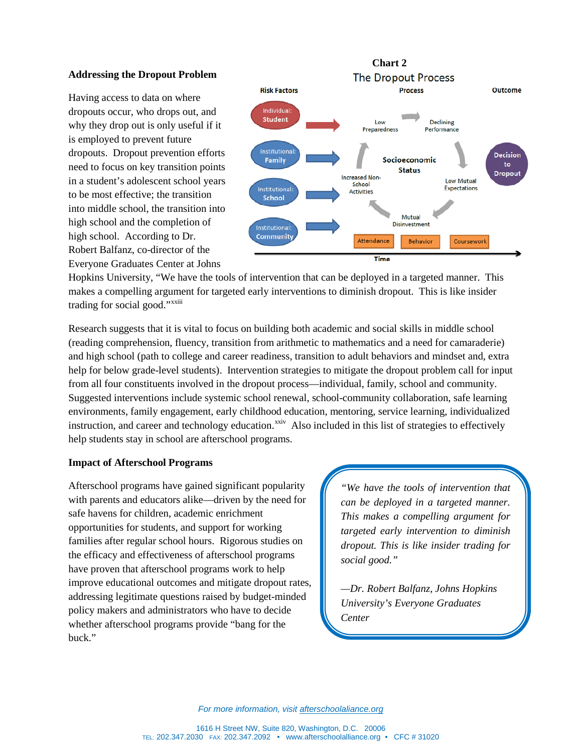### **Addressing the Dropout Problem**

Having access to data on where dropouts occur, who drops out, and why they drop out is only useful if it is employed to prevent future dropouts. Dropout prevention efforts need to focus on key transition points in a student's adolescent school years to be most effective; the transition into middle school, the transition into high school and the completion of high school. According to Dr. Robert Balfanz, co-director of the Everyone Graduates Center at Johns



Hopkins University, "We have the tools of intervention that can be deployed in a targeted manner. This makes a compelling argument for targeted early interventions to diminish dropout. This is like insider trad[i](#page-8-17)ng for social good."<sup>xxiii</sup>

Research suggests that it is vital to focus on building both academic and social skills in middle school (reading comprehension, fluency, transition from arithmetic to mathematics and a need for camaraderie) and high school (path to college and career readiness, transition to adult behaviors and mindset and, extra help for below grade-level students). Intervention strategies to mitigate the dropout problem call for input from all four constituents involved in the dropout process—individual, family, school and community. Suggested interventions include systemic school renewal, school-community collaboration, safe learning environments, family engagement, early childhood education, mentoring, service learning, individualized instruction, and career and technology education.<sup>[xxiv](#page-8-18)</sup> Also included in this list of strategies to effectively help students stay in school are afterschool programs.

### **Impact of Afterschool Programs**

Afterschool programs have gained significant popularity with parents and educators alike—driven by the need for safe havens for children, academic enrichment opportunities for students, and support for working families after regular school hours. Rigorous studies on the efficacy and effectiveness of afterschool programs have proven that afterschool programs work to help improve educational outcomes and mitigate dropout rates, addressing legitimate questions raised by budget-minded policy makers and administrators who have to decide whether afterschool programs provide "bang for the buck."

*"We have the tools of intervention that can be deployed in a targeted manner. This makes a compelling argument for targeted early intervention to diminish dropout. This is like insider trading for social good."*

*—Dr. Robert Balfanz, Johns Hopkins University's Everyone Graduates Center*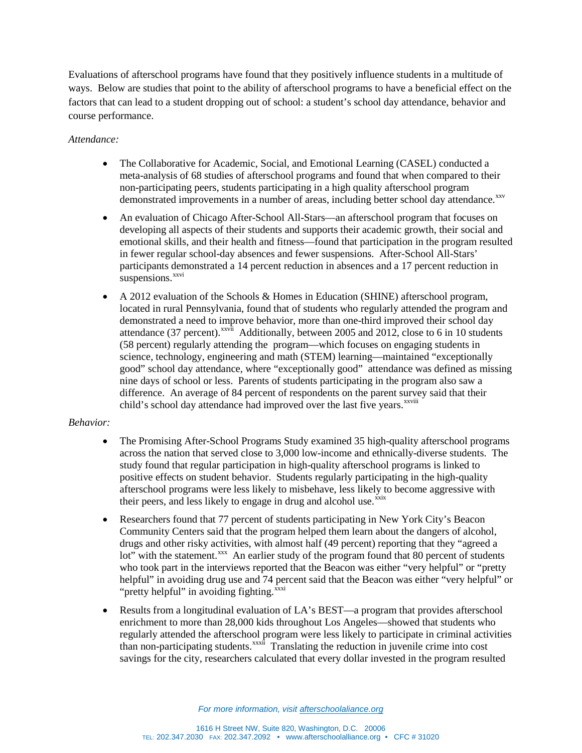Evaluations of afterschool programs have found that they positively influence students in a multitude of ways. Below are studies that point to the ability of afterschool programs to have a beneficial effect on the factors that can lead to a student dropping out of school: a student's school day attendance, behavior and course performance.

# *Attendance:*

- The Collaborative for Academic, Social, and Emotional Learning (CASEL) conducted a meta-analysis of 68 studies of afterschool programs and found that when compared to their non-participating peers, students participating in a high quality afterschool program demonstrated improvements in a number of areas, including better school day attendance. XXV
- An evaluation of Chicago After-School All-Stars—an afterschool program that focuses on developing all aspects of their students and supports their academic growth, their social and emotional skills, and their health and fitness—found that participation in the program resulted in fewer regular school-day absences and fewer suspensions. After-School All-Stars' participants demonstrated a 14 percent reduction in absences and a 17 percent reduction in suspensions.<sup>xxvi</sup>
- A 2012 evaluation of the Schools & Homes in Education (SHINE) afterschool program, located in rural Pennsylvania, found that of students who regularly attended the program and demonstrated a need to improve behavior, more than one-third improved their school day attendance (37 percent).<sup>xxvii</sup> [A](#page-8-20)dditionally, between 2005 and 2012, close to 6 in 10 students child'sschool day attendance had improved over the last five years. XXViii (58 percent) regularly attending the program—which focuses on engaging students in science, technology, engineering and math (STEM) learning—maintained "exceptionally good" school day attendance, where "exceptionally good" attendance was defined as missing nine days of school or less. Parents of students participating in the program also saw a difference. An average of 84 percent of respondents on the parent survey said that their

# *Behavior:*

- The Promising After-School Programs Study examined 35 high-quality afterschool programs across the nation that served close to 3,000 low-income and ethnically-diverse students. The study found that regular participation in high-quality afterschool programs is linked to positive effects on student behavior. Students regularly participating in the high-quality afterschool programs were less likely to misbehave, less likely to become aggressive with their peers, and less likely to engage in drug and alcohol use. XXIX
- Researchers found that 77 percent of students participating in New York City's Beacon Community Centers said that the program helped them learn about the dangers of alcohol, drugs and other risky activities, with almost half (49 percent) reporting that they "agreed a lot" with the statement.<sup>[xxx](#page-8-23)</sup> An earlier study of the program found that 80 percent of students who took part in the interviews reported that the Beacon was either "very helpful" or "pretty helpful" in avoiding drug use and 74 percent said that the Beacon was either "very helpful" or "pretty helpful" in avoiding fighting. $\frac{x}{x}$
- Results from a longitudinal evaluation of LA's BEST—a program that provides afterschool enrichment to more than 28,000 kids throughout Los Angeles—showed that students who regularly attended the afterschool program were less likely to participate in criminal activities than non-participating students.<sup>xxxii</sup> Translating the reduction in juvenile crime into cost savings for the city, researchers calculated that every dollar invested in the program resulted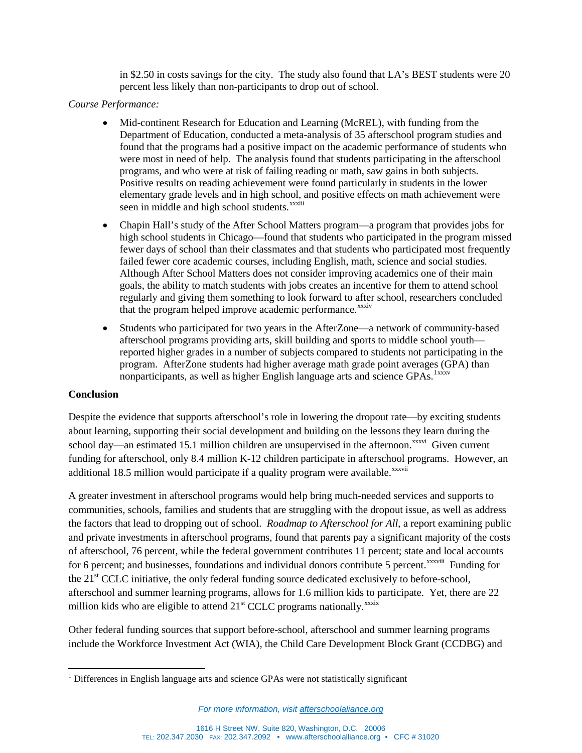in \$2.50 in costs savings for the city. The study also found that LA's BEST students were 20 percent less likely than non-participants to drop out of school.

# *Course Performance:*

- Mid-continent Research for Education and Learning (McREL), with funding from the Department of Education, conducted a meta-analysis of 35 afterschool program studies and found that the programs had a positive impact on the academic performance of students who were most in need of help. The analysis found that students participating in the afterschool programs, and who were at risk of failing reading or math, saw gains in both subjects. Positive results on reading achievement were found particularly in students in the lower elementary grade levels and in high school, [a](#page-8-7)nd positive effects on math achievement were seen in middle and high school students.<sup>xxxiii</sup>
- Chapin Hall's study of the After School Matters program—a program that provides jobs for high school students in Chicago—found that students who participated in the program missed fewer days of school than their classmates and that students who participated most frequently failed fewer core academic courses, including English, math, science and social studies. Although After School Matters does not consider improving academics one of their main goals, the ability to match students with jobs creates an incentive for them to attend school regularly and giving them something to look forward to after school, researchers concluded that the program helped improve academic performance.<sup>xxxiv</sup>
- Students who participated for two years in the AfterZone—a network of community-based afterschool programs providing arts, skill building and sports to middle school youth reported higher grades in a number of subjects compared to students not participating in the program. AfterZone students had higher average math grade point averages (GPA) than nonparticipants, as well as higher English language arts and science GPAs.<sup>[1](#page-5-0)xxxv</sup>

# **Conclusion**

Despite the evidence that supports afterschool's role in lowering the dropout rate—by exciting students about learning, supporting their social development and building on the lessons they learn during the schoolday—an estimated 15.1 million children are unsupervised in the afternoon.<sup>xxxvi</sup> Given current additional18.5 million would participate if a quality program were available.<sup>xxxvii</sup> funding for afterschool, only 8.4 million K-12 children participate in afterschool programs. However, an

A greater investment in afterschool programs would help bring much-needed services and supports to communities, schools, families and students that are struggling with the dropout issue, as well as address the factors that lead to dropping out of school. *Roadmap to Afterschool for All*, a report examining public and private investments in afterschool programs, found that parents pay a significant majority of the costs of afterschool, 76 percent, while the federal government contributes 11 percent; state and local accounts for6 percent; and businesses, foundations and individual donors contribute 5 percent.<sup>xxxviii</sup> Funding for millionkids who are eligible to attend  $21<sup>st</sup>$  CCLC programs nationally.<sup>xxxix</sup> the 21<sup>st</sup> CCLC initiative, the only federal funding source dedicated exclusively to before-school, afterschool and summer learning programs, allows for 1.6 million kids to participate. Yet, there are 22

Other federal funding sources that support before-school, afterschool and summer learning programs include the Workforce Investment Act (WIA), the Child Care Development Block Grant (CCDBG) and

<span id="page-5-0"></span><sup>&</sup>lt;sup>1</sup> Differences in English language arts and science GPAs were not statistically significant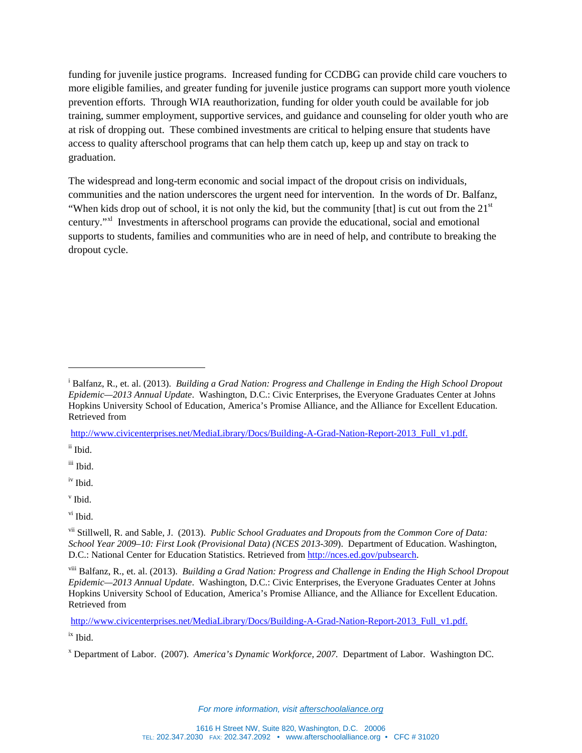funding for juvenile justice programs. Increased funding for CCDBG can provide child care vouchers to more eligible families, and greater funding for juvenile justice programs can support more youth violence prevention efforts. Through WIA reauthorization, funding for older youth could be available for job training, summer employment, supportive services, and guidance and counseling for older youth who are at risk of dropping out. These combined investments are critical to helping ensure that students have access to quality afterschool programs that can help them catch up, keep up and stay on track to graduation.

The widespread and long-term economic and social impact of the dropout crisis on individuals, communities and the nation underscores the urgent need for intervention. In the words of Dr. Balfanz, "When kids drop out of school, it is not only the kid, but the community [that] is cut out from the  $21<sup>st</sup>$ century."[xl](#page-8-29) Investments in afterschool programs can provide the educational, social and emotional supports to students, families and communities who are in need of help, and contribute to breaking the dropout cycle.

[http://www.civicenterprises.net/MediaLibrary/Docs/Building-A-Grad-Nation-Report-2013\\_Full\\_v1.pdf.](http://www.civicenterprises.net/MediaLibrary/Docs/Building-A-Grad-Nation-Report-2013_Full_v1.pdf)

ii Ibid.

 $\overline{a}$ 

iii Ibid.

iv Ibid.

<sup>v</sup> Ibid.

ix Ibid.

<sup>&</sup>lt;sup>i</sup> Balfanz, R., et. al. (2013). *Building a Grad Nation: Progress and Challenge in Ending the High School Dropout Epidemic—2013 Annual Update*. Washington, D.C.: Civic Enterprises, the Everyone Graduates Center at Johns Hopkins University School of Education, America's Promise Alliance, and the Alliance for Excellent Education. Retrieved from

vi Ibid.

vii Stillwell, R. and Sable, J. (2013). *Public School Graduates and Dropouts from the Common Core of Data: School Year 2009–10: First Look (Provisional Data) (NCES 2013-309*). Department of Education. Washington, D.C.: National Center for Education Statistics. Retrieved from [http://nces.ed.gov/pubsearch.](http://nces.ed.gov/pubsearch)

viii Balfanz, R., et. al. (2013). *Building a Grad Nation: Progress and Challenge in Ending the High School Dropout Epidemic—2013 Annual Update*. Washington, D.C.: Civic Enterprises, the Everyone Graduates Center at Johns Hopkins University School of Education, America's Promise Alliance, and the Alliance for Excellent Education. Retrieved from

http://www.civicenterprises.net/MediaLibrary/Docs/Building-A-Grad-Nation-Report-2013 Full\_v1.pdf.

<sup>x</sup> Department of Labor. (2007). *America's Dynamic Workforce, 2007.* Department of Labor. Washington DC.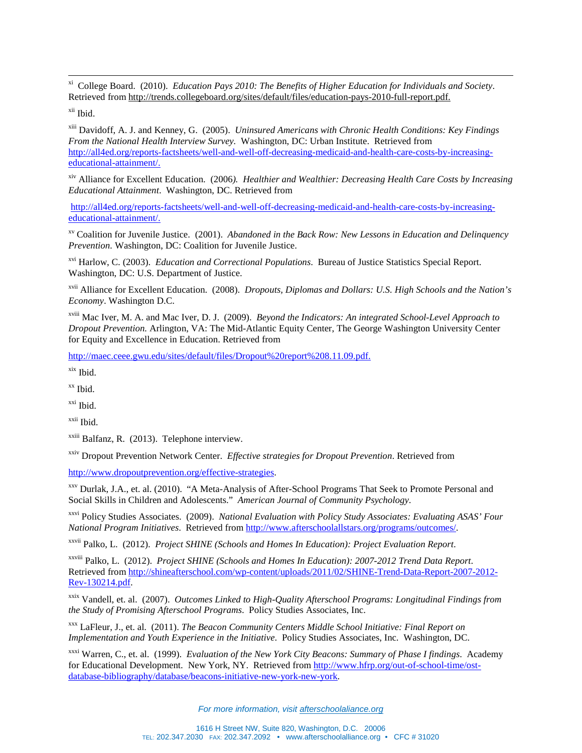xi College Board. (2010). *Education Pays 2010: The Benefits of Higher Education for Individuals and Society*. Retrieved from [http://trends.collegeboard.org/sites/default/files/education-pays-2010-full-report.pdf.](http://trends.collegeboard.org/sites/default/files/education-pays-2010-full-report.pdf)

xii Ibid.

xiii Davidoff, A. J. and Kenney, G. (2005). *Uninsured Americans with Chronic Health Conditions: Key Findings From the National Health Interview Survey.* Washington, DC: Urban Institute. Retrieved from [http://all4ed.org/reports-factsheets/well-and-well-off-decreasing-medicaid-and-health-care-costs-by-increasing](http://all4ed.org/reports-factsheets/well-and-well-off-decreasing-medicaid-and-health-care-costs-by-increasing-educational-attainment/)[educational-attainment/.](http://all4ed.org/reports-factsheets/well-and-well-off-decreasing-medicaid-and-health-care-costs-by-increasing-educational-attainment/) 

xiv Alliance for Excellent Education. (2006*). Healthier and Wealthier: Decreasing Health Care Costs by Increasing Educational Attainment*. Washington, DC. Retrieved from

[http://all4ed.org/reports-factsheets/well-and-well-off-decreasing-medicaid-and-health-care-costs-by-increasing](http://all4ed.org/reports-factsheets/well-and-well-off-decreasing-medicaid-and-health-care-costs-by-increasing-educational-attainment/)[educational-attainment/.](http://all4ed.org/reports-factsheets/well-and-well-off-decreasing-medicaid-and-health-care-costs-by-increasing-educational-attainment/)

xv Coalition for Juvenile Justice. (2001). *Abandoned in the Back Row: New Lessons in Education and Delinquency Prevention.* Washington, DC: Coalition for Juvenile Justice.

xvi Harlow, C. (2003). *Education and Correctional Populations*. Bureau of Justice Statistics Special Report. Washington, DC: U.S. Department of Justice.

xvii Alliance for Excellent Education. (2008). *Dropouts, Diplomas and Dollars: U.S. High Schools and the Nation's Economy*. Washington D.C.

xviii Mac Iver, M. A. and Mac Iver, D. J. (2009). *Beyond the Indicators: An integrated School-Level Approach to Dropout Prevention.* Arlington, VA: The Mid-Atlantic Equity Center, The George Washington University Center for Equity and Excellence in Education. Retrieved from

[http://maec.ceee.gwu.edu/sites/default/files/Dropout%20report%208.11.09.pdf.](http://maec.ceee.gwu.edu/sites/default/files/Dropout%20report%208.11.09.pdf)

xix Ibid.

<span id="page-7-0"></span>xx Ibid.

xxi Ibid.

xxii Ibid.

xxiii Balfanz, R. (2013). Telephone interview.

<span id="page-7-1"></span>xxiv Dropout Prevention Network Center. *Effective strategies for Dropout Prevention*. Retrieved from

<span id="page-7-2"></span>[http://www.dropoutprevention.org/effective-strategies.](http://www.dropoutprevention.org/effective-strategies)

<span id="page-7-3"></span>xxv Durlak, J.A., et. al. (2010). "A Meta-Analysis of After-School Programs That Seek to Promote Personal and Social Skills in Children and Adolescents." *American Journal of Community Psychology*.

<span id="page-7-4"></span>xxvi Policy Studies Associates. (2009). *National Evaluation with Policy Study Associates: Evaluating ASAS' Four National Program Initiatives*. Retrieved from [http://www.afterschoolallstars.org/programs/outcomes/.](http://www.afterschoolallstars.org/programs/outcomes/)

xxvii Palko, L. (2012). *Project SHINE (Schools and Homes In Education): Project Evaluation Report*.

xxviii Palko, L. (2012). *Project SHINE (Schools and Homes In Education): 2007-2012 Trend Data Report*. Retrieved from [http://shineafterschool.com/wp-content/uploads/2011/02/SHINE-Trend-Data-Report-2007-2012-](http://shineafterschool.com/wp-content/uploads/2011/02/SHINE-Trend-Data-Report-2007-2012-Rev-130214.pdf) [Rev-130214.pdf.](http://shineafterschool.com/wp-content/uploads/2011/02/SHINE-Trend-Data-Report-2007-2012-Rev-130214.pdf) 

xxix Vandell, et. al. (2007). *Outcomes Linked to High-Quality Afterschool Programs: Longitudinal Findings from the Study of Promising Afterschool Programs*. Policy Studies Associates, Inc.

xxx LaFleur, J., et. al. (2011). *The Beacon Community Centers Middle School Initiative: Final Report on Implementation and Youth Experience in the Initiative*. Policy Studies Associates, Inc. Washington, DC.

xxxi Warren, C., et. al. (1999). *Evaluation of the New York City Beacons: Summary of Phase I findings*. Academy for Educational Development. New York, NY. Retrieved from [http://www.hfrp.org/out-of-school-time/ost](http://www.hfrp.org/out-of-school-time/ost-database-bibliography/database/beacons-initiative-new-york-new-york)[database-bibliography/database/beacons-initiative-new-york-new-york.](http://www.hfrp.org/out-of-school-time/ost-database-bibliography/database/beacons-initiative-new-york-new-york)